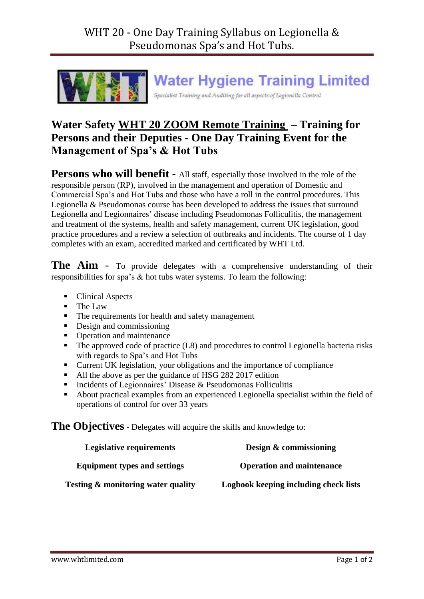

## **Water Hygiene Training Limited**

Specialist Training and Auditing for all aspects of Legionella Control

## **Water Safety WHT 20 ZOOM Remote Training – Training for Persons and their Deputies - One Day Training Event for the Management of Spa's & Hot Tubs**

**Persons who will benefit -** All staff, especially those involved in the role of the responsible person (RP), involved in the management and operation of Domestic and Commercial Spa's and Hot Tubs and those who have a roll in the control procedures. This Legionella & Pseudomonas course has been developed to address the issues that surround Legionella and Legionnaires' disease including Pseudomonas Folliculitis, the management and treatment of the systems, health and safety management, current UK legislation, good practice procedures and a review a selection of outbreaks and incidents. The course of 1 day completes with an exam, accredited marked and certificated by WHT Ltd.

**The Aim** - To provide delegates with a comprehensive understanding of their responsibilities for spa's & hot tubs water systems. To learn the following:

- Clinical Aspects
- The Law
- The requirements for health and safety management
- Design and commissioning
- Operation and maintenance
- The approved code of practice (L8) and procedures to control Legionella bacteria risks with regards to Spa's and Hot Tubs
- Current UK legislation, your obligations and the importance of compliance
- All the above as per the guidance of HSG 282 2017 edition
- Incidents of Legionnaires' Disease  $&$  Pseudomonas Folliculitis
- About practical examples from an experienced Legionella specialist within the field of operations of control for over 33 years

**The Objectives** - Delegates will acquire the skills and knowledge to:

| Legislative requirements                      | Design & commissioning                |
|-----------------------------------------------|---------------------------------------|
| <b>Equipment types and settings</b>           | <b>Operation and maintenance</b>      |
| <b>Testing &amp; monitoring water quality</b> | Logbook keeping including check lists |